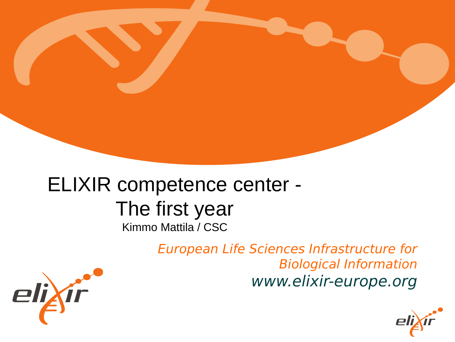#### ELIXIR competence center - The first year Kimmo Mattila / CSC

European Life Sciences Infrastructure for Biological Information www.elixir-europe.org



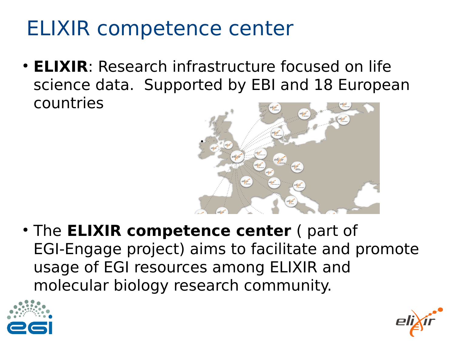### ELIXIR competence center

• **ELIXIR**: Research infrastructure focused on life science data. Supported by EBI and 18 European countries



• The **ELIXIR competence center** ( part of EGI-Engage project) aims to facilitate and promote usage of EGI resources among ELIXIR and molecular biology research community.



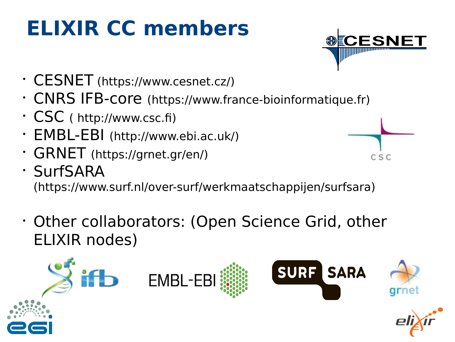# **ELIXIR CC members**

- CESNET (https://www.cesnet.cz/)
- CNRS IFB-core (https://www.france-bioinformatique.fr)
- CSC ( [http://www.csc.f](http://www.csc.fi/))
- EMBL-EBI (http://www.ebi.ac.uk/)
- GRNET (https://grnet.gr/en/)
- SurfSARA (https://www.surf.nl/over-surf/werkmaatschappijen/surfsara)

CSC

 Other collaborators: (Open Science Grid, other ELIXIR nodes)

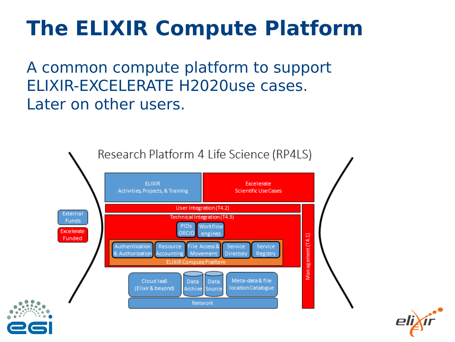## **The ELIXIR Compute Platform**

A common compute platform to support ELIXIR-EXCELERATE H2020use cases. Later on other users.



4

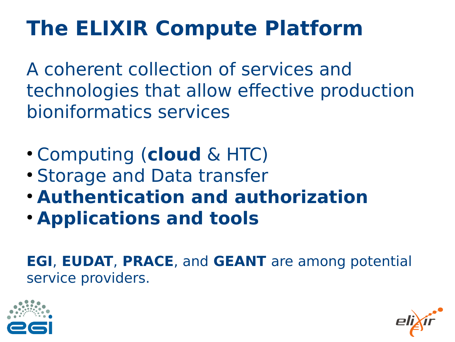# **The ELIXIR Compute Platform**

A coherent collection of services and technologies that allow effective production bioniformatics services

- Computing (**cloud** & HTC)
- Storage and Data transfer
- **Authentication and authorization**
- **Applications and tools**

**EGI**, **EUDAT**, **PRACE**, and **GEANT** are among potential service providers.



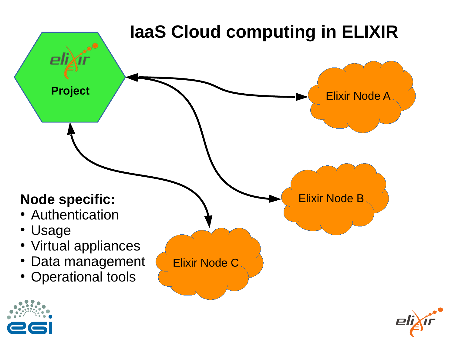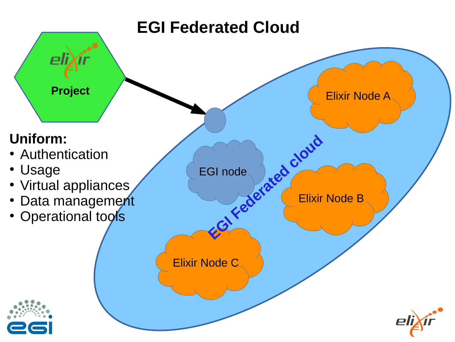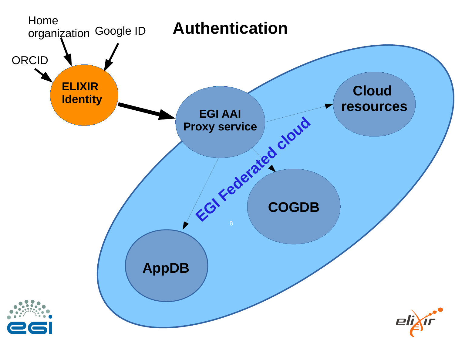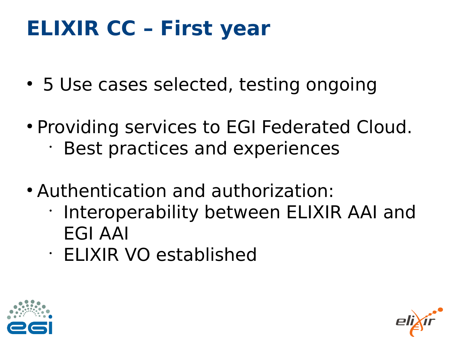# **ELIXIR CC – First year**

- 5 Use cases selected, testing ongoing
- Providing services to EGI Federated Cloud.
	- Best practices and experiences
- Authentication and authorization:
	- Interoperability between ELIXIR AAI and EGI AAI
	- ELIXIR VO established



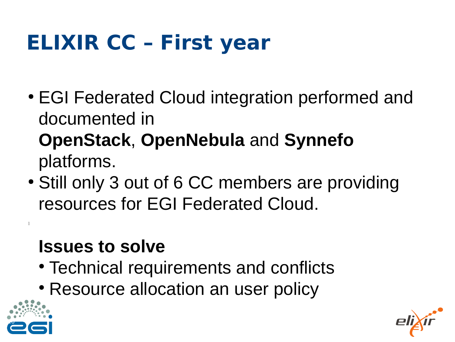# **ELIXIR CC – First year**

• EGI Federated Cloud integration performed and documented in

#### **OpenStack**, **OpenNebula** and **Synnefo**  platforms.

• Still only 3 out of 6 CC members are providing resources for EGI Federated Cloud.

#### **Issues to solve**

- Technical requirements and conflicts
- Resource allocation an user policy



l

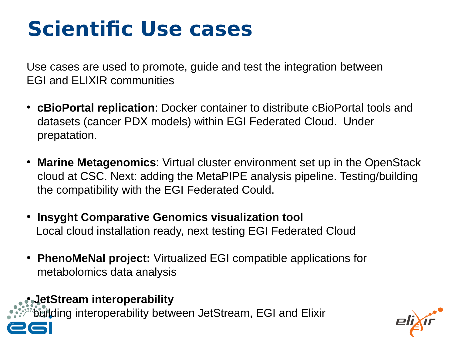## **Scientific Use cases**

Use cases are used to promote, guide and test the integration between EGI and ELIXIR communities

- **cBioPortal replication**: Docker container to distribute cBioPortal tools and datasets (cancer PDX models) within EGI Federated Cloud. Under prepatation.
- **Marine Metagenomics**: Virtual cluster environment set up in the OpenStack cloud at CSC. Next: adding the MetaPIPE analysis pipeline. Testing/building the compatibility with the EGI Federated Could.
- **Insyght Comparative Genomics visualization tool** Local cloud installation ready, next testing EGI Federated Cloud
- **PhenoMeNal project:** Virtualized EGI compatible applications for metabolomics data analysis

#### ● **JetStream interoperability**

11

building interoperability between JetStream, EGI and Elixir